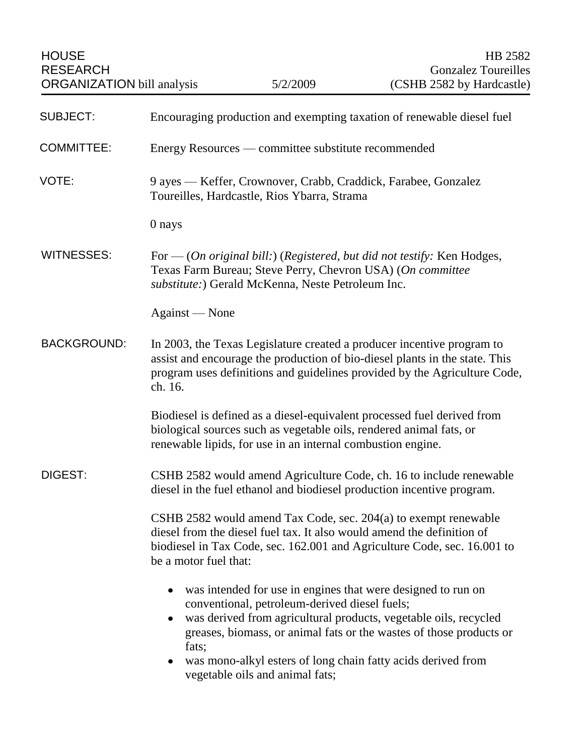| <b>SUBJECT:</b>    | Encouraging production and exempting taxation of renewable diesel fuel                                                                                                                                                                                                                                                                                                                      |
|--------------------|---------------------------------------------------------------------------------------------------------------------------------------------------------------------------------------------------------------------------------------------------------------------------------------------------------------------------------------------------------------------------------------------|
| <b>COMMITTEE:</b>  | Energy Resources — committee substitute recommended                                                                                                                                                                                                                                                                                                                                         |
| VOTE:              | 9 ayes — Keffer, Crownover, Crabb, Craddick, Farabee, Gonzalez<br>Toureilles, Hardcastle, Rios Ybarra, Strama                                                                                                                                                                                                                                                                               |
|                    | 0 nays                                                                                                                                                                                                                                                                                                                                                                                      |
| <b>WITNESSES:</b>  | For $-$ (On original bill:) (Registered, but did not testify: Ken Hodges,<br>Texas Farm Bureau; Steve Perry, Chevron USA) (On committee<br>substitute:) Gerald McKenna, Neste Petroleum Inc.                                                                                                                                                                                                |
|                    | Against — None                                                                                                                                                                                                                                                                                                                                                                              |
| <b>BACKGROUND:</b> | In 2003, the Texas Legislature created a producer incentive program to<br>assist and encourage the production of bio-diesel plants in the state. This<br>program uses definitions and guidelines provided by the Agriculture Code,<br>ch. 16.                                                                                                                                               |
|                    | Biodiesel is defined as a diesel-equivalent processed fuel derived from<br>biological sources such as vegetable oils, rendered animal fats, or<br>renewable lipids, for use in an internal combustion engine.                                                                                                                                                                               |
| DIGEST:            | CSHB 2582 would amend Agriculture Code, ch. 16 to include renewable<br>diesel in the fuel ethanol and biodiesel production incentive program.                                                                                                                                                                                                                                               |
|                    | CSHB 2582 would amend Tax Code, sec. 204(a) to exempt renewable<br>diesel from the diesel fuel tax. It also would amend the definition of<br>biodiesel in Tax Code, sec. 162.001 and Agriculture Code, sec. 16.001 to<br>be a motor fuel that:                                                                                                                                              |
|                    | was intended for use in engines that were designed to run on<br>$\bullet$<br>conventional, petroleum-derived diesel fuels;<br>was derived from agricultural products, vegetable oils, recycled<br>٠<br>greases, biomass, or animal fats or the wastes of those products or<br>fats;<br>was mono-alkyl esters of long chain fatty acids derived from<br>٠<br>vegetable oils and animal fats; |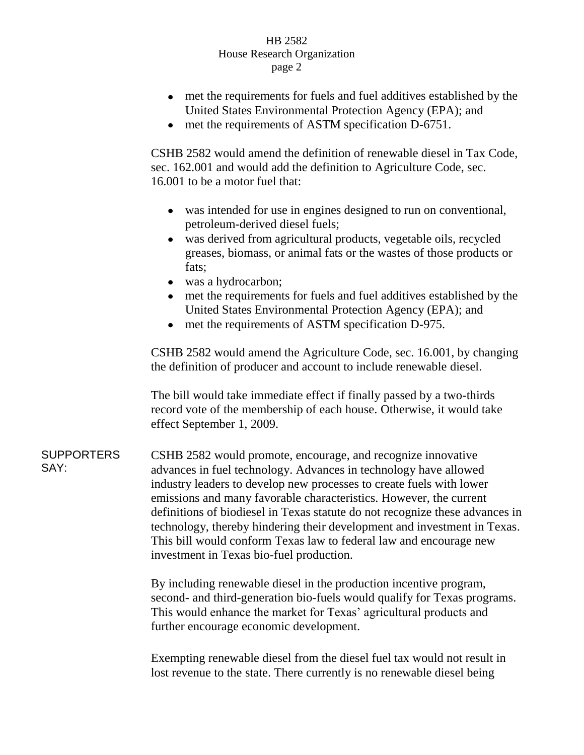## HB 2582 House Research Organization page 2

- met the requirements for fuels and fuel additives established by the United States Environmental Protection Agency (EPA); and
- met the requirements of ASTM specification D-6751.

CSHB 2582 would amend the definition of renewable diesel in Tax Code, sec. 162.001 and would add the definition to Agriculture Code, sec. 16.001 to be a motor fuel that:

- was intended for use in engines designed to run on conventional, petroleum-derived diesel fuels;
- was derived from agricultural products, vegetable oils, recycled greases, biomass, or animal fats or the wastes of those products or fats;
- was a hydrocarbon;
- met the requirements for fuels and fuel additives established by the United States Environmental Protection Agency (EPA); and
- met the requirements of ASTM specification D-975.

CSHB 2582 would amend the Agriculture Code, sec. 16.001, by changing the definition of producer and account to include renewable diesel.

The bill would take immediate effect if finally passed by a two-thirds record vote of the membership of each house. Otherwise, it would take effect September 1, 2009.

**SUPPORTERS** SAY: CSHB 2582 would promote, encourage, and recognize innovative advances in fuel technology. Advances in technology have allowed industry leaders to develop new processes to create fuels with lower emissions and many favorable characteristics. However, the current definitions of biodiesel in Texas statute do not recognize these advances in technology, thereby hindering their development and investment in Texas. This bill would conform Texas law to federal law and encourage new investment in Texas bio-fuel production.

> By including renewable diesel in the production incentive program, second- and third-generation bio-fuels would qualify for Texas programs. This would enhance the market for Texas' agricultural products and further encourage economic development.

Exempting renewable diesel from the diesel fuel tax would not result in lost revenue to the state. There currently is no renewable diesel being